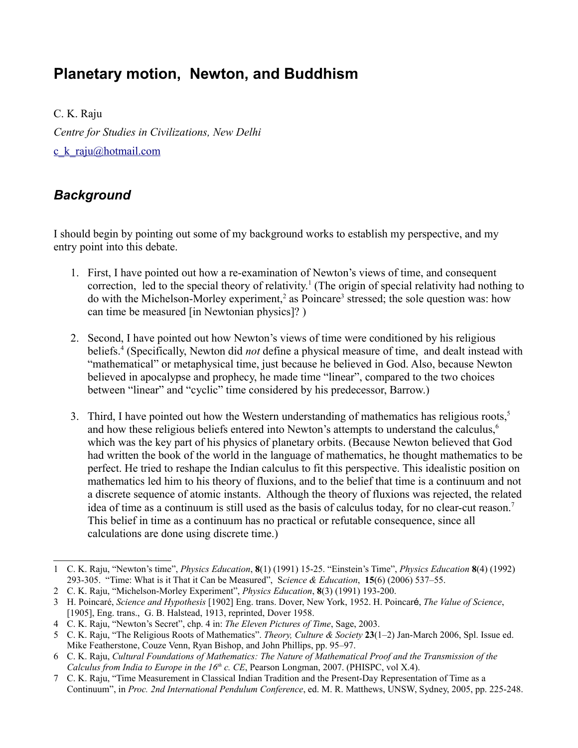# **Planetary motion, Newton, and Buddhism**

C. K. Raju *Centre for Studies in Civilizations, New Delhi* c k raju@hotmail.com

## *Background*

I should begin by pointing out some of my background works to establish my perspective, and my entry point into this debate.

- 1. First, I have pointed out how a re-examination of Newton's views of time, and consequent correction, led to the special theory of relativity.<sup>[1](#page-0-0)</sup> (The origin of special relativity had nothing to do with the Michelson-Morley experiment,<sup>[2](#page-0-1)</sup> as Poincare<sup>[3](#page-0-2)</sup> stressed; the sole question was: how can time be measured [in Newtonian physics]? )
- 2. Second, I have pointed out how Newton's views of time were conditioned by his religious beliefs.[4](#page-0-3) (Specifically, Newton did *not* define a physical measure of time, and dealt instead with "mathematical" or metaphysical time, just because he believed in God. Also, because Newton believed in apocalypse and prophecy, he made time "linear", compared to the two choices between "linear" and "cyclic" time considered by his predecessor, Barrow.)
- 3. Third, I have pointed out how the Western understanding of mathematics has religious roots, $5$ and how these religious beliefs entered into Newton's attempts to understand the calculus,<sup>[6](#page-0-5)</sup> which was the key part of his physics of planetary orbits. (Because Newton believed that God had written the book of the world in the language of mathematics, he thought mathematics to be perfect. He tried to reshape the Indian calculus to fit this perspective. This idealistic position on mathematics led him to his theory of fluxions, and to the belief that time is a continuum and not a discrete sequence of atomic instants. Although the theory of fluxions was rejected, the related idea of time as a continuum is still used as the basis of calculus today, for no clear-cut reason.[7](#page-0-6) This belief in time as a continuum has no practical or refutable consequence, since all calculations are done using discrete time.)

<span id="page-0-0"></span><sup>1</sup> C. K. Raju, "Newton's time", *Physics Education*, **8**(1) (1991) 15-25. "Einstein's Time", *Physics Education* **8**(4) (1992) 293-305. "Time: What is it That it Can be Measured", S*cience & Education*, **15**(6) (2006) 537–55.

<span id="page-0-1"></span><sup>2</sup> C. K. Raju, "Michelson-Morley Experiment", *Physics Education*, **8**(3) (1991) 193-200.

<span id="page-0-2"></span><sup>3</sup> H. Poincaré, *Science and Hypothesis* [1902] Eng. trans. Dover, New York, 1952. H. Poincaré, *The Value of Science*, [1905], Eng. trans., G. B. Halstead, 1913, reprinted, Dover 1958.

<span id="page-0-3"></span><sup>4</sup> C. K. Raju, "Newton's Secret", chp. 4 in: *The Eleven Pictures of Time*, Sage, 2003.

<span id="page-0-4"></span><sup>5</sup> C. K. Raju, "The Religious Roots of Mathematics". *Theory, Culture & Society* **23**(1–2) Jan-March 2006, Spl. Issue ed. Mike Featherstone, Couze Venn, Ryan Bishop, and John Phillips, pp. 95–97.

<span id="page-0-5"></span><sup>6</sup> C. K. Raju, *Cultural Foundations of Mathematics: The Nature of Mathematical Proof and the Transmission of the Calculus from India to Europe in the 16th c. CE*, Pearson Longman, 2007. (PHISPC, vol X.4).

<span id="page-0-6"></span><sup>7</sup> C. K. Raju, "Time Measurement in Classical Indian Tradition and the Present-Day Representation of Time as a Continuum", in *Proc. 2nd International Pendulum Conference*, ed. M. R. Matthews, UNSW, Sydney, 2005, pp. 225-248.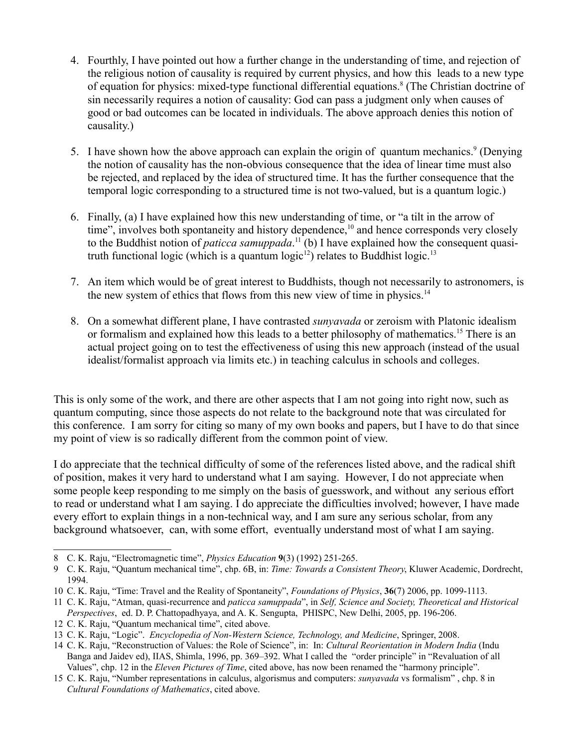- 4. Fourthly, I have pointed out how a further change in the understanding of time, and rejection of the religious notion of causality is required by current physics, and how this leads to a new type of equation for physics: mixed-type functional differential equations.<sup>[8](#page-1-0)</sup> (The Christian doctrine of sin necessarily requires a notion of causality: God can pass a judgment only when causes of good or bad outcomes can be located in individuals. The above approach denies this notion of causality.)
- 5. I have shown how the above approach can explain the origin of quantum mechanics.<sup>[9](#page-1-1)</sup> (Denying the notion of causality has the non-obvious consequence that the idea of linear time must also be rejected, and replaced by the idea of structured time. It has the further consequence that the temporal logic corresponding to a structured time is not two-valued, but is a quantum logic.)
- 6. Finally, (a) I have explained how this new understanding of time, or "a tilt in the arrow of time", involves both spontaneity and history dependence,<sup>[10](#page-1-2)</sup> and hence corresponds very closely to the Buddhist notion of *paticca samuppada*. [11](#page-1-3) (b) I have explained how the consequent quasi-truth functional logic (which is a quantum logic<sup>[12](#page-1-4)</sup>) relates to Buddhist logic.<sup>[13](#page-1-5)</sup>
- 7. An item which would be of great interest to Buddhists, though not necessarily to astronomers, is the new system of ethics that flows from this new view of time in physics.<sup>[14](#page-1-6)</sup>
- 8. On a somewhat different plane, I have contrasted *sunyavada* or zeroism with Platonic idealism or formalism and explained how this leads to a better philosophy of mathematics.<sup>[15](#page-1-7)</sup> There is an actual project going on to test the effectiveness of using this new approach (instead of the usual idealist/formalist approach via limits etc.) in teaching calculus in schools and colleges.

This is only some of the work, and there are other aspects that I am not going into right now, such as quantum computing, since those aspects do not relate to the background note that was circulated for this conference. I am sorry for citing so many of my own books and papers, but I have to do that since my point of view is so radically different from the common point of view.

I do appreciate that the technical difficulty of some of the references listed above, and the radical shift of position, makes it very hard to understand what I am saying. However, I do not appreciate when some people keep responding to me simply on the basis of guesswork, and without any serious effort to read or understand what I am saying. I do appreciate the difficulties involved; however, I have made every effort to explain things in a non-technical way, and I am sure any serious scholar, from any background whatsoever, can, with some effort, eventually understand most of what I am saying.

<span id="page-1-0"></span><sup>8</sup> C. K. Raju, "Electromagnetic time", *Physics Education* **9**(3) (1992) 251-265.

<span id="page-1-1"></span><sup>9</sup> C. K. Raju, "Quantum mechanical time", chp. 6B, in: *Time: Towards a Consistent Theory*, Kluwer Academic, Dordrecht, 1994.

<span id="page-1-2"></span><sup>10</sup> C. K. Raju, "Time: Travel and the Reality of Spontaneity", *Foundations of Physics*, **36**(7) 2006, pp. 1099-1113.

<span id="page-1-3"></span><sup>11</sup> C. K. Raju, "Atman, quasi-recurrence and *paticca samuppada*", in *Self, Science and Society, Theoretical and Historical Perspectives*, ed. D. P. Chattopadhyaya, and A. K. Sengupta, PHISPC, New Delhi, 2005, pp. 196-206.

<span id="page-1-4"></span><sup>12</sup> C. K. Raju, "Quantum mechanical time", cited above.

<span id="page-1-5"></span><sup>13</sup> C. K. Raju, "Logic". *Encyclopedia of Non-Western Science, Technology, and Medicine*, Springer, 2008.

<span id="page-1-6"></span><sup>14</sup> C. K. Raju, "Reconstruction of Values: the Role of Science", in: In: *Cultural Reorientation in Modern India* (Indu Banga and Jaidev ed), IIAS, Shimla, 1996, pp. 369–392. What I called the "order principle" in "Revaluation of all Values", chp. 12 in the *Eleven Pictures of Time*, cited above, has now been renamed the "harmony principle".

<span id="page-1-7"></span><sup>15</sup> C. K. Raju, "Number representations in calculus, algorismus and computers: *sunyavada* vs formalism" , chp. 8 in *Cultural Foundations of Mathematics*, cited above.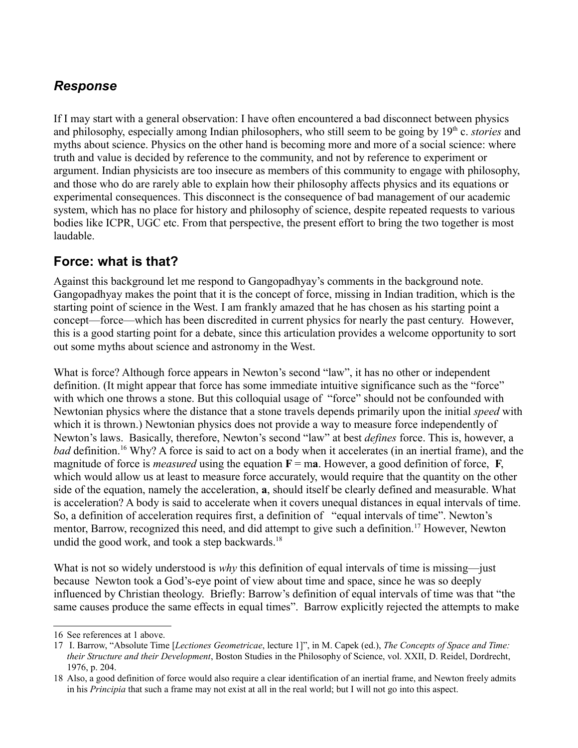### *Response*

If I may start with a general observation: I have often encountered a bad disconnect between physics and philosophy, especially among Indian philosophers, who still seem to be going by 19<sup>th</sup> c. *stories* and myths about science. Physics on the other hand is becoming more and more of a social science: where truth and value is decided by reference to the community, and not by reference to experiment or argument. Indian physicists are too insecure as members of this community to engage with philosophy, and those who do are rarely able to explain how their philosophy affects physics and its equations or experimental consequences. This disconnect is the consequence of bad management of our academic system, which has no place for history and philosophy of science, despite repeated requests to various bodies like ICPR, UGC etc. From that perspective, the present effort to bring the two together is most laudable.

## **Force: what is that?**

Against this background let me respond to Gangopadhyay's comments in the background note. Gangopadhyay makes the point that it is the concept of force, missing in Indian tradition, which is the starting point of science in the West. I am frankly amazed that he has chosen as his starting point a concept—force—which has been discredited in current physics for nearly the past century. However, this is a good starting point for a debate, since this articulation provides a welcome opportunity to sort out some myths about science and astronomy in the West.

What is force? Although force appears in Newton's second "law", it has no other or independent definition. (It might appear that force has some immediate intuitive significance such as the "force" with which one throws a stone. But this colloquial usage of "force" should not be confounded with Newtonian physics where the distance that a stone travels depends primarily upon the initial *speed* with which it is thrown.) Newtonian physics does not provide a way to measure force independently of Newton's laws. Basically, therefore, Newton's second "law" at best *defines* force. This is, however, a *bad* definition.[16](#page-2-0) Why? A force is said to act on a body when it accelerates (in an inertial frame), and the magnitude of force is *measured* using the equation  $\mathbf{F} = \mathbf{ma}$ . However, a good definition of force, **F**, which would allow us at least to measure force accurately, would require that the quantity on the other side of the equation, namely the acceleration, **a**, should itself be clearly defined and measurable. What is acceleration? A body is said to accelerate when it covers unequal distances in equal intervals of time. So, a definition of acceleration requires first, a definition of "equal intervals of time". Newton's mentor, Barrow, recognized this need, and did attempt to give such a definition.<sup>[17](#page-2-1)</sup> However, Newton undid the good work, and took a step backwards. $18$ 

What is not so widely understood is *why* this definition of equal intervals of time is missing—just because Newton took a God's-eye point of view about time and space, since he was so deeply influenced by Christian theology. Briefly: Barrow's definition of equal intervals of time was that "the same causes produce the same effects in equal times". Barrow explicitly rejected the attempts to make

<span id="page-2-0"></span><sup>16</sup> See references at 1 above.

<span id="page-2-1"></span><sup>17</sup> I. Barrow, "Absolute Time [*Lectiones Geometricae*, lecture 1]", in M. Capek (ed.), *The Concepts of Space and Time: their Structure and their Development*, Boston Studies in the Philosophy of Science, vol. XXII, D. Reidel, Dordrecht, 1976, p. 204.

<span id="page-2-2"></span><sup>18</sup> Also, a good definition of force would also require a clear identification of an inertial frame, and Newton freely admits in his *Principia* that such a frame may not exist at all in the real world; but I will not go into this aspect.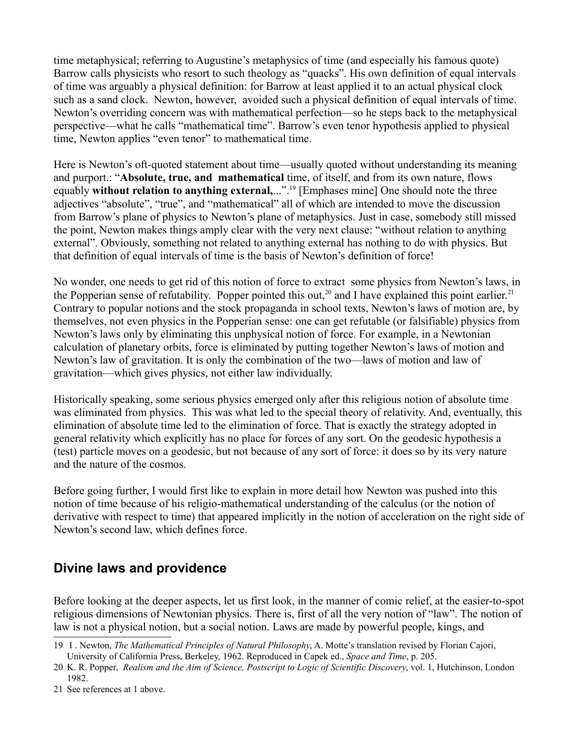time metaphysical; referring to Augustine's metaphysics of time (and especially his famous quote) Barrow calls physicists who resort to such theology as "quacks". His own definition of equal intervals of time was arguably a physical definition: for Barrow at least applied it to an actual physical clock such as a sand clock. Newton, however, avoided such a physical definition of equal intervals of time. Newton's overriding concern was with mathematical perfection—so he steps back to the metaphysical perspective—what he calls "mathematical time". Barrow's even tenor hypothesis applied to physical time, Newton applies "even tenor" to mathematical time.

Here is Newton's oft-quoted statement about time—usually quoted without understanding its meaning and purport.: "**Absolute, true, and mathematical** time, of itself, and from its own nature, flows equably **without relation to anything external,**...".[19](#page-3-0) [Emphases mine] One should note the three adjectives "absolute", "true", and "mathematical" all of which are intended to move the discussion from Barrow's plane of physics to Newton's plane of metaphysics. Just in case, somebody still missed the point, Newton makes things amply clear with the very next clause: "without relation to anything external". Obviously, something not related to anything external has nothing to do with physics. But that definition of equal intervals of time is the basis of Newton's definition of force!

No wonder, one needs to get rid of this notion of force to extract some physics from Newton's laws, in the Popperian sense of refutability. Popper pointed this out,<sup>[20](#page-3-1)</sup> and I have explained this point earlier.<sup>[21](#page-3-2)</sup> Contrary to popular notions and the stock propaganda in school texts, Newton's laws of motion are, by themselves, not even physics in the Popperian sense: one can get refutable (or falsifiable) physics from Newton's laws only by eliminating this unphysical notion of force. For example, in a Newtonian calculation of planetary orbits, force is eliminated by putting together Newton's laws of motion and Newton's law of gravitation. It is only the combination of the two—laws of motion and law of gravitation—which gives physics, not either law individually.

Historically speaking, some serious physics emerged only after this religious notion of absolute time was eliminated from physics. This was what led to the special theory of relativity. And, eventually, this elimination of absolute time led to the elimination of force. That is exactly the strategy adopted in general relativity which explicitly has no place for forces of any sort. On the geodesic hypothesis a (test) particle moves on a geodesic, but not because of any sort of force: it does so by its very nature and the nature of the cosmos.

Before going further, I would first like to explain in more detail how Newton was pushed into this notion of time because of his religio-mathematical understanding of the calculus (or the notion of derivative with respect to time) that appeared implicitly in the notion of acceleration on the right side of Newton's second law, which defines force.

# **Divine laws and providence**

Before looking at the deeper aspects, let us first look, in the manner of comic relief, at the easier-to-spot religious dimensions of Newtonian physics. There is, first of all the very notion of "law". The notion of law is not a physical notion, but a social notion. Laws are made by powerful people, kings, and

<span id="page-3-0"></span><sup>19</sup> I . Newton, *The Mathematical Principles of Natural Philosophy*, A. Motte's translation revised by Florian Cajori, University of California Press, Berkeley, 1962. Reproduced in Capek ed., *Space and Time*, p. 205.

<span id="page-3-1"></span><sup>20</sup> K. R. Popper, *Realism and the Aim of Science, Postscript to Logic of Scientific Discovery*, vol. 1, Hutchinson, London 1982.

<span id="page-3-2"></span><sup>21</sup> See references at 1 above.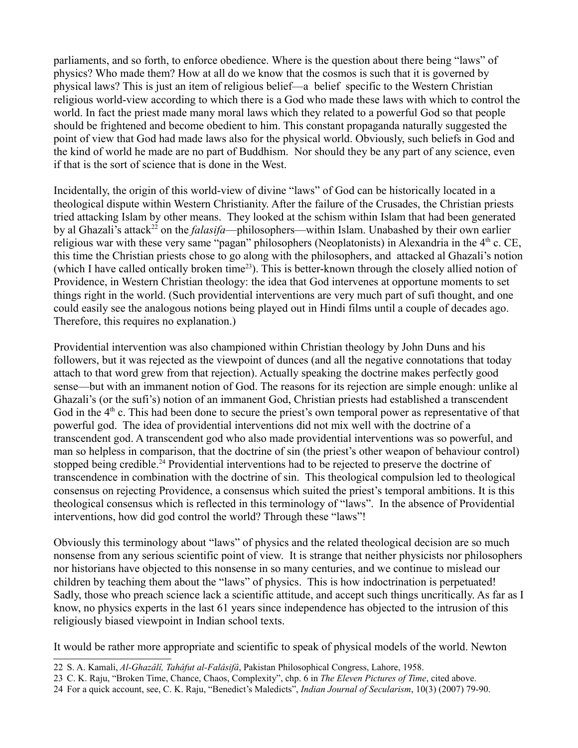parliaments, and so forth, to enforce obedience. Where is the question about there being "laws" of physics? Who made them? How at all do we know that the cosmos is such that it is governed by physical laws? This is just an item of religious belief—a belief specific to the Western Christian religious world-view according to which there is a God who made these laws with which to control the world. In fact the priest made many moral laws which they related to a powerful God so that people should be frightened and become obedient to him. This constant propaganda naturally suggested the point of view that God had made laws also for the physical world. Obviously, such beliefs in God and the kind of world he made are no part of Buddhism. Nor should they be any part of any science, even if that is the sort of science that is done in the West.

Incidentally, the origin of this world-view of divine "laws" of God can be historically located in a theological dispute within Western Christianity. After the failure of the Crusades, the Christian priests tried attacking Islam by other means. They looked at the schism within Islam that had been generated by al Ghazali's attack<sup>[22](#page-4-0)</sup> on the *falasifa*—philosophers—within Islam. Unabashed by their own earlier religious war with these very same "pagan" philosophers (Neoplatonists) in Alexandria in the  $4<sup>th</sup>$  c. CE, this time the Christian priests chose to go along with the philosophers, and attacked al Ghazali's notion (which I have called ontically broken time<sup>[23](#page-4-1)</sup>). This is better-known through the closely allied notion of Providence, in Western Christian theology: the idea that God intervenes at opportune moments to set things right in the world. (Such providential interventions are very much part of sufi thought, and one could easily see the analogous notions being played out in Hindi films until a couple of decades ago. Therefore, this requires no explanation.)

Providential intervention was also championed within Christian theology by John Duns and his followers, but it was rejected as the viewpoint of dunces (and all the negative connotations that today attach to that word grew from that rejection). Actually speaking the doctrine makes perfectly good sense—but with an immanent notion of God. The reasons for its rejection are simple enough: unlike al Ghazali's (or the sufi's) notion of an immanent God, Christian priests had established a transcendent God in the  $4<sup>th</sup>$  c. This had been done to secure the priest's own temporal power as representative of that powerful god. The idea of providential interventions did not mix well with the doctrine of a transcendent god. A transcendent god who also made providential interventions was so powerful, and man so helpless in comparison, that the doctrine of sin (the priest's other weapon of behaviour control) stopped being credible.<sup>[24](#page-4-2)</sup> Providential interventions had to be rejected to preserve the doctrine of transcendence in combination with the doctrine of sin. This theological compulsion led to theological consensus on rejecting Providence, a consensus which suited the priest's temporal ambitions. It is this theological consensus which is reflected in this terminology of "laws". In the absence of Providential interventions, how did god control the world? Through these "laws"!

Obviously this terminology about "laws" of physics and the related theological decision are so much nonsense from any serious scientific point of view. It is strange that neither physicists nor philosophers nor historians have objected to this nonsense in so many centuries, and we continue to mislead our children by teaching them about the "laws" of physics. This is how indoctrination is perpetuated! Sadly, those who preach science lack a scientific attitude, and accept such things uncritically. As far as I know, no physics experts in the last 61 years since independence has objected to the intrusion of this religiously biased viewpoint in Indian school texts.

It would be rather more appropriate and scientific to speak of physical models of the world. Newton

<span id="page-4-0"></span><sup>22</sup> S. A. Kamali, *Al-Ghazâlî, Tahâfut al-Falâsifâ*, Pakistan Philosophical Congress, Lahore, 1958.

<span id="page-4-1"></span><sup>23</sup> C. K. Raju, "Broken Time, Chance, Chaos, Complexity", chp. 6 in *The Eleven Pictures of Time*, cited above.

<span id="page-4-2"></span><sup>24</sup> For a quick account, see, C. K. Raju, "Benedict's Maledicts", *Indian Journal of Secularism*, 10(3) (2007) 79-90.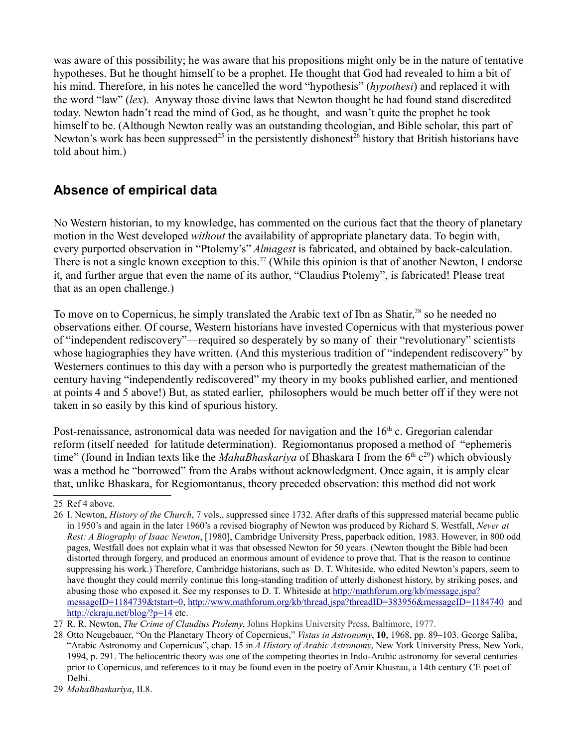was aware of this possibility; he was aware that his propositions might only be in the nature of tentative hypotheses. But he thought himself to be a prophet. He thought that God had revealed to him a bit of his mind. Therefore, in his notes he cancelled the word "hypothesis" (*hypothesi*) and replaced it with the word "law" (*lex*). Anyway those divine laws that Newton thought he had found stand discredited today. Newton hadn't read the mind of God, as he thought, and wasn't quite the prophet he took himself to be. (Although Newton really was an outstanding theologian, and Bible scholar, this part of Newton's work has been suppressed<sup>[25](#page-5-0)</sup> in the persistently dishonest<sup>[26](#page-5-1)</sup> history that British historians have told about him.)

## **Absence of empirical data**

No Western historian, to my knowledge, has commented on the curious fact that the theory of planetary motion in the West developed *without* the availability of appropriate planetary data. To begin with, every purported observation in "Ptolemy's" *Almagest* is fabricated, and obtained by back-calculation. There is not a single known exception to this.<sup>[27](#page-5-2)</sup> (While this opinion is that of another Newton, I endorse it, and further argue that even the name of its author, "Claudius Ptolemy", is fabricated! Please treat that as an open challenge.)

To move on to Copernicus, he simply translated the Arabic text of Ibn as Shatir,<sup>[28](#page-5-3)</sup> so he needed no observations either. Of course, Western historians have invested Copernicus with that mysterious power of "independent rediscovery"—required so desperately by so many of their "revolutionary" scientists whose hagiographies they have written. (And this mysterious tradition of "independent rediscovery" by Westerners continues to this day with a person who is purportedly the greatest mathematician of the century having "independently rediscovered" my theory in my books published earlier, and mentioned at points 4 and 5 above!) But, as stated earlier, philosophers would be much better off if they were not taken in so easily by this kind of spurious history.

Post-renaissance, astronomical data was needed for navigation and the  $16<sup>th</sup>$  c. Gregorian calendar reform (itself needed for latitude determination). Regiomontanus proposed a method of "ephemeris time" (found in Indian texts like the *MahaBhaskariya* of Bhaskara I from the 6<sup>th</sup> c<sup>[29](#page-5-4)</sup>) which obviously was a method he "borrowed" from the Arabs without acknowledgment. Once again, it is amply clear that, unlike Bhaskara, for Regiomontanus, theory preceded observation: this method did not work

<span id="page-5-0"></span><sup>25</sup> Ref 4 above.

<span id="page-5-1"></span><sup>26</sup> I. Newton, *History of the Church*, 7 vols., suppressed since 1732. After drafts of this suppressed material became public in 1950's and again in the later 1960's a revised biography of Newton was produced by Richard S. Westfall, *Never at Rest: A Biography of Isaac Newton*, [1980], Cambridge University Press, paperback edition, 1983. However, in 800 odd pages, Westfall does not explain what it was that obsessed Newton for 50 years. (Newton thought the Bible had been distorted through forgery, and produced an enormous amount of evidence to prove that. That is the reason to continue suppressing his work.) Therefore, Cambridge historians, such as D. T. Whiteside, who edited Newton's papers, seem to have thought they could merrily continue this long-standing tradition of utterly dishonest history, by striking poses, and abusing those who exposed it. See my responses to D. T. Whiteside at [http://mathforum.org/kb/message.jspa?](http://mathforum.org/kb/message.jspa?messageID=1184739&tstart=0) [messageID=1184739&tstart=0,](http://mathforum.org/kb/message.jspa?messageID=1184739&tstart=0)<http://www.mathforum.org/kb/thread.jspa?threadID=383956&messageID=1184740>and <http://ckraju.net/blog/?p=14>etc.

<span id="page-5-2"></span><sup>27</sup> R. R. Newton, *The Crime of Claudius Ptolemy*, Johns Hopkins University Press, Baltimore, 1977.

<span id="page-5-3"></span><sup>28</sup> Otto Neugebauer, "On the Planetary Theory of Copernicus," *Vistas in Astronomy*, **10**, 1968, pp. 89–103. George Saliba, "Arabic Astronomy and Copernicus", chap. 15 in *A History of Arabic Astronomy*, New York University Press, New York, 1994, p. 291. The heliocentric theory was one of the competing theories in Indo-Arabic astronomy for several centuries prior to Copernicus, and references to it may be found even in the poetry of Amir Khusrau, a 14th century CE poet of Delhi.

<span id="page-5-4"></span><sup>29</sup> *MahaBhaskariya*, II.8.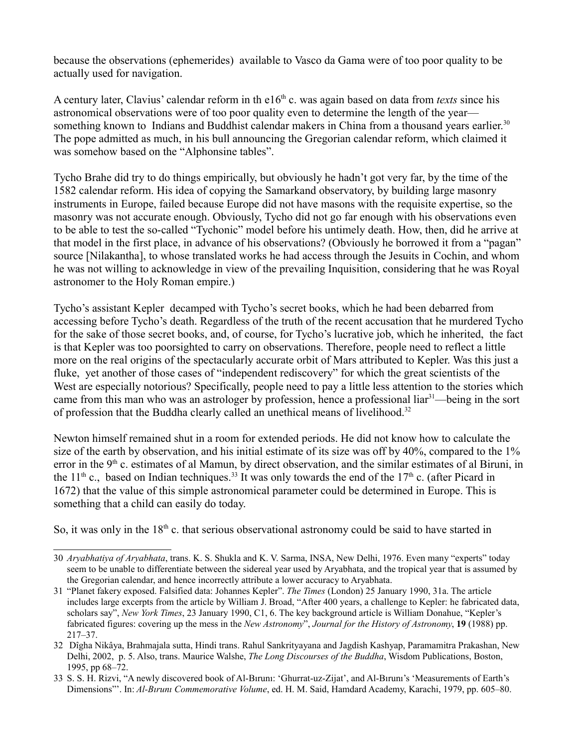because the observations (ephemerides) available to Vasco da Gama were of too poor quality to be actually used for navigation.

A century later, Clavius' calendar reform in th e16<sup>th</sup> c. was again based on data from *texts* since his astronomical observations were of too poor quality even to determine the length of the year— something known to Indians and Buddhist calendar makers in China from a thousand years earlier.<sup>[30](#page-6-0)</sup> The pope admitted as much, in his bull announcing the Gregorian calendar reform, which claimed it was somehow based on the "Alphonsine tables".

Tycho Brahe did try to do things empirically, but obviously he hadn't got very far, by the time of the 1582 calendar reform. His idea of copying the Samarkand observatory, by building large masonry instruments in Europe, failed because Europe did not have masons with the requisite expertise, so the masonry was not accurate enough. Obviously, Tycho did not go far enough with his observations even to be able to test the so-called "Tychonic" model before his untimely death. How, then, did he arrive at that model in the first place, in advance of his observations? (Obviously he borrowed it from a "pagan" source [Nilakantha], to whose translated works he had access through the Jesuits in Cochin, and whom he was not willing to acknowledge in view of the prevailing Inquisition, considering that he was Royal astronomer to the Holy Roman empire.)

Tycho's assistant Kepler decamped with Tycho's secret books, which he had been debarred from accessing before Tycho's death. Regardless of the truth of the recent accusation that he murdered Tycho for the sake of those secret books, and, of course, for Tycho's lucrative job, which he inherited, the fact is that Kepler was too poorsighted to carry on observations. Therefore, people need to reflect a little more on the real origins of the spectacularly accurate orbit of Mars attributed to Kepler. Was this just a fluke, yet another of those cases of "independent rediscovery" for which the great scientists of the West are especially notorious? Specifically, people need to pay a little less attention to the stories which came from this man who was an astrologer by profession, hence a professional liar<sup>[31](#page-6-1)</sup>—being in the sort of profession that the Buddha clearly called an unethical means of livelihood.<sup>[32](#page-6-2)</sup>

Newton himself remained shut in a room for extended periods. He did not know how to calculate the size of the earth by observation, and his initial estimate of its size was off by 40%, compared to the 1% error in the 9<sup>th</sup> c. estimates of al Mamun, by direct observation, and the similar estimates of al Biruni, in the 11<sup>th</sup> c., based on Indian techniques.<sup>[33](#page-6-3)</sup> It was only towards the end of the 17<sup>th</sup> c. (after Picard in 1672) that the value of this simple astronomical parameter could be determined in Europe. This is something that a child can easily do today.

So, it was only in the  $18<sup>th</sup>$  c. that serious observational astronomy could be said to have started in

<span id="page-6-0"></span><sup>30</sup> *Aryabhatiya of Aryabhata*, trans. K. S. Shukla and K. V. Sarma, INSA, New Delhi, 1976. Even many "experts" today seem to be unable to differentiate between the sidereal year used by Aryabhata, and the tropical year that is assumed by the Gregorian calendar, and hence incorrectly attribute a lower accuracy to Aryabhata.

<span id="page-6-1"></span><sup>31</sup> "Planet fakery exposed. Falsified data: Johannes Kepler". *The Times* (London) 25 January 1990, 31a. The article includes large excerpts from the article by William J. Broad, "After 400 years, a challenge to Kepler: he fabricated data, scholars say", *New York Times*, 23 January 1990, C1, 6. The key background article is William Donahue, "Kepler's fabricated figures: covering up the mess in the *New Astronomy*", *Journal for the History of Astronomy*, **19** (1988) pp. 217–37.

<span id="page-6-2"></span><sup>32</sup> Dîgha Nikâya, Brahmajala sutta, Hindi trans. Rahul Sankrityayana and Jagdish Kashyap, Paramamitra Prakashan, New Delhi, 2002, p. 5. Also, trans. Maurice Walshe, *The Long Discourses of the Buddha*, Wisdom Publications, Boston, 1995, pp 68–72.

<span id="page-6-3"></span><sup>33</sup> S. S. H. Rizvi, "A newly discovered book of Al-Bırunı: 'Ghurrat-uz-Zijat', and Al-Bırunı's 'Measurements of Earth's Dimensions"'. In: *Al-Bırunı Commemorative Volume*, ed. H. M. Said, Hamdard Academy, Karachi, 1979, pp. 605–80.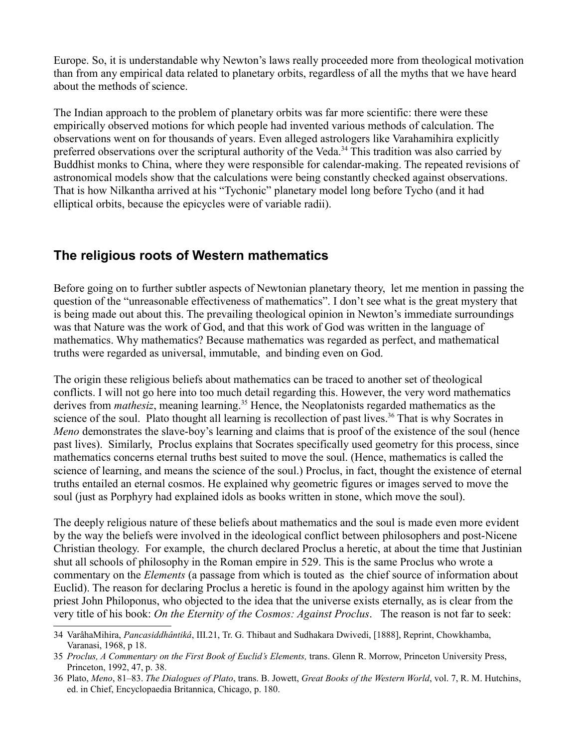Europe. So, it is understandable why Newton's laws really proceeded more from theological motivation than from any empirical data related to planetary orbits, regardless of all the myths that we have heard about the methods of science.

The Indian approach to the problem of planetary orbits was far more scientific: there were these empirically observed motions for which people had invented various methods of calculation. The observations went on for thousands of years. Even alleged astrologers like Varahamihira explicitly preferred observations over the scriptural authority of the Veda.<sup>[34](#page-7-0)</sup> This tradition was also carried by Buddhist monks to China, where they were responsible for calendar-making. The repeated revisions of astronomical models show that the calculations were being constantly checked against observations. That is how Nilkantha arrived at his "Tychonic" planetary model long before Tycho (and it had elliptical orbits, because the epicycles were of variable radii).

### **The religious roots of Western mathematics**

Before going on to further subtler aspects of Newtonian planetary theory, let me mention in passing the question of the "unreasonable effectiveness of mathematics". I don't see what is the great mystery that is being made out about this. The prevailing theological opinion in Newton's immediate surroundings was that Nature was the work of God, and that this work of God was written in the language of mathematics. Why mathematics? Because mathematics was regarded as perfect, and mathematical truths were regarded as universal, immutable, and binding even on God.

The origin these religious beliefs about mathematics can be traced to another set of theological conflicts. I will not go here into too much detail regarding this. However, the very word mathematics derives from *mathesiz*, meaning learning.<sup>[35](#page-7-1)</sup> Hence, the Neoplatonists regarded mathematics as the science of the soul. Plato thought all learning is recollection of past lives.<sup>[36](#page-7-2)</sup> That is why Socrates in *Meno* demonstrates the slave-boy's learning and claims that is proof of the existence of the soul (hence past lives). Similarly, Proclus explains that Socrates specifically used geometry for this process, since mathematics concerns eternal truths best suited to move the soul. (Hence, mathematics is called the science of learning, and means the science of the soul.) Proclus, in fact, thought the existence of eternal truths entailed an eternal cosmos. He explained why geometric figures or images served to move the soul (just as Porphyry had explained idols as books written in stone, which move the soul).

The deeply religious nature of these beliefs about mathematics and the soul is made even more evident by the way the beliefs were involved in the ideological conflict between philosophers and post-Nicene Christian theology. For example, the church declared Proclus a heretic, at about the time that Justinian shut all schools of philosophy in the Roman empire in 529. This is the same Proclus who wrote a commentary on the *Elements* (a passage from which is touted as the chief source of information about Euclid). The reason for declaring Proclus a heretic is found in the apology against him written by the priest John Philoponus, who objected to the idea that the universe exists eternally, as is clear from the very title of his book: *On the Eternity of the Cosmos: Against Proclus*. The reason is not far to seek:

<span id="page-7-0"></span><sup>34</sup> VarâhaMihira, *Pancasiddhântikâ*, III.21, Tr. G. Thibaut and Sudhakara Dwivedi, [1888], Reprint, Chowkhamba, Varanasi, 1968, p 18.

<span id="page-7-1"></span><sup>35</sup> *Proclus, A Commentary on the First Book of Euclid's Elements,* trans. Glenn R. Morrow, Princeton University Press, Princeton, 1992, 47, p. 38.

<span id="page-7-2"></span><sup>36</sup> Plato, *Meno*, 81–83. *The Dialogues of Plato*, trans. B. Jowett, *Great Books of the Western World*, vol. 7, R. M. Hutchins, ed. in Chief, Encyclopaedia Britannica, Chicago, p. 180.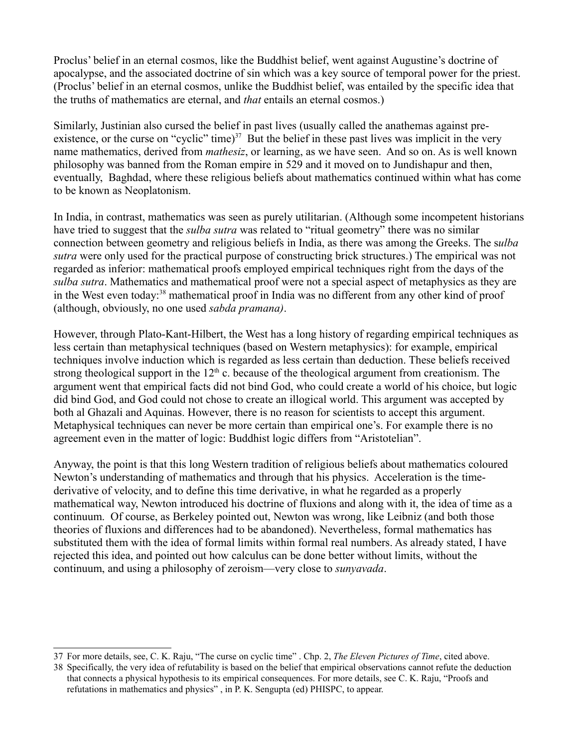Proclus' belief in an eternal cosmos, like the Buddhist belief, went against Augustine's doctrine of apocalypse, and the associated doctrine of sin which was a key source of temporal power for the priest. (Proclus' belief in an eternal cosmos, unlike the Buddhist belief, was entailed by the specific idea that the truths of mathematics are eternal, and *that* entails an eternal cosmos.)

Similarly, Justinian also cursed the belief in past lives (usually called the anathemas against preexistence, or the curse on "cyclic" time) $37$  But the belief in these past lives was implicit in the very name mathematics, derived from *mathesiz*, or learning, as we have seen. And so on. As is well known philosophy was banned from the Roman empire in 529 and it moved on to Jundishapur and then, eventually, Baghdad, where these religious beliefs about mathematics continued within what has come to be known as Neoplatonism.

In India, in contrast, mathematics was seen as purely utilitarian. (Although some incompetent historians have tried to suggest that the *sulba sutra* was related to "ritual geometry" there was no similar connection between geometry and religious beliefs in India, as there was among the Greeks. The s*ulba sutra* were only used for the practical purpose of constructing brick structures.) The empirical was not regarded as inferior: mathematical proofs employed empirical techniques right from the days of the *sulba sutra*. Mathematics and mathematical proof were not a special aspect of metaphysics as they are in the West even today:[38](#page-8-1) mathematical proof in India was no different from any other kind of proof (although, obviously, no one used *sabda pramana)*.

However, through Plato-Kant-Hilbert, the West has a long history of regarding empirical techniques as less certain than metaphysical techniques (based on Western metaphysics): for example, empirical techniques involve induction which is regarded as less certain than deduction. These beliefs received strong theological support in the  $12<sup>th</sup>$  c. because of the theological argument from creationism. The argument went that empirical facts did not bind God, who could create a world of his choice, but logic did bind God, and God could not chose to create an illogical world. This argument was accepted by both al Ghazali and Aquinas. However, there is no reason for scientists to accept this argument. Metaphysical techniques can never be more certain than empirical one's. For example there is no agreement even in the matter of logic: Buddhist logic differs from "Aristotelian".

Anyway, the point is that this long Western tradition of religious beliefs about mathematics coloured Newton's understanding of mathematics and through that his physics. Acceleration is the timederivative of velocity, and to define this time derivative, in what he regarded as a properly mathematical way, Newton introduced his doctrine of fluxions and along with it, the idea of time as a continuum. Of course, as Berkeley pointed out, Newton was wrong, like Leibniz (and both those theories of fluxions and differences had to be abandoned). Nevertheless, formal mathematics has substituted them with the idea of formal limits within formal real numbers. As already stated, I have rejected this idea, and pointed out how calculus can be done better without limits, without the continuum, and using a philosophy of zeroism—very close to *sunyavada*.

<span id="page-8-0"></span><sup>37</sup> For more details, see, C. K. Raju, "The curse on cyclic time" . Chp. 2, *The Eleven Pictures of Time*, cited above.

<span id="page-8-1"></span><sup>38</sup> Specifically, the very idea of refutability is based on the belief that empirical observations cannot refute the deduction that connects a physical hypothesis to its empirical consequences. For more details, see C. K. Raju, "Proofs and refutations in mathematics and physics" , in P. K. Sengupta (ed) PHISPC, to appear.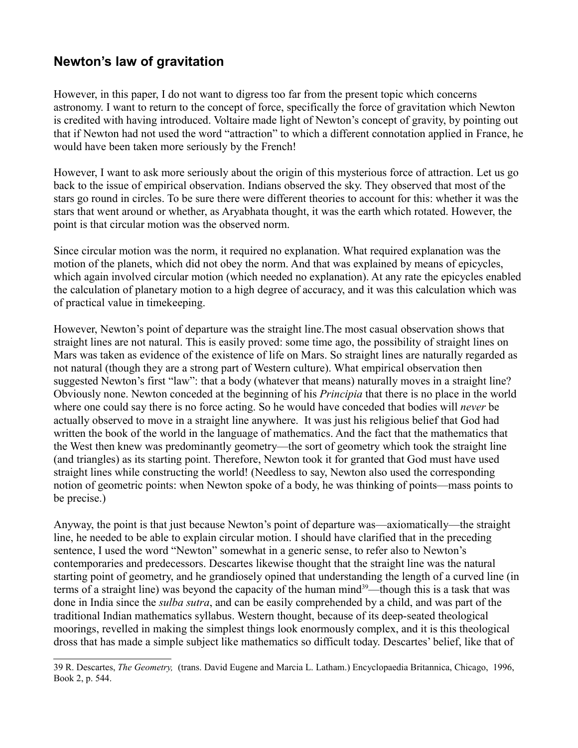## **Newton's law of gravitation**

However, in this paper, I do not want to digress too far from the present topic which concerns astronomy. I want to return to the concept of force, specifically the force of gravitation which Newton is credited with having introduced. Voltaire made light of Newton's concept of gravity, by pointing out that if Newton had not used the word "attraction" to which a different connotation applied in France, he would have been taken more seriously by the French!

However, I want to ask more seriously about the origin of this mysterious force of attraction. Let us go back to the issue of empirical observation. Indians observed the sky. They observed that most of the stars go round in circles. To be sure there were different theories to account for this: whether it was the stars that went around or whether, as Aryabhata thought, it was the earth which rotated. However, the point is that circular motion was the observed norm.

Since circular motion was the norm, it required no explanation. What required explanation was the motion of the planets, which did not obey the norm. And that was explained by means of epicycles, which again involved circular motion (which needed no explanation). At any rate the epicycles enabled the calculation of planetary motion to a high degree of accuracy, and it was this calculation which was of practical value in timekeeping.

However, Newton's point of departure was the straight line.The most casual observation shows that straight lines are not natural. This is easily proved: some time ago, the possibility of straight lines on Mars was taken as evidence of the existence of life on Mars. So straight lines are naturally regarded as not natural (though they are a strong part of Western culture). What empirical observation then suggested Newton's first "law": that a body (whatever that means) naturally moves in a straight line? Obviously none. Newton conceded at the beginning of his *Principia* that there is no place in the world where one could say there is no force acting. So he would have conceded that bodies will *never* be actually observed to move in a straight line anywhere. It was just his religious belief that God had written the book of the world in the language of mathematics. And the fact that the mathematics that the West then knew was predominantly geometry—the sort of geometry which took the straight line (and triangles) as its starting point. Therefore, Newton took it for granted that God must have used straight lines while constructing the world! (Needless to say, Newton also used the corresponding notion of geometric points: when Newton spoke of a body, he was thinking of points—mass points to be precise.)

Anyway, the point is that just because Newton's point of departure was—axiomatically—the straight line, he needed to be able to explain circular motion. I should have clarified that in the preceding sentence, I used the word "Newton" somewhat in a generic sense, to refer also to Newton's contemporaries and predecessors. Descartes likewise thought that the straight line was the natural starting point of geometry, and he grandiosely opined that understanding the length of a curved line (in terms of a straight line) was beyond the capacity of the human mind<sup>[39](#page-9-0)</sup>—though this is a task that was done in India since the *sulba sutra*, and can be easily comprehended by a child, and was part of the traditional Indian mathematics syllabus. Western thought, because of its deep-seated theological moorings, revelled in making the simplest things look enormously complex, and it is this theological dross that has made a simple subject like mathematics so difficult today. Descartes' belief, like that of

<span id="page-9-0"></span><sup>39</sup> R. Descartes, *The Geometry,* (trans. David Eugene and Marcia L. Latham.) Encyclopaedia Britannica, Chicago, 1996, Book 2, p. 544.